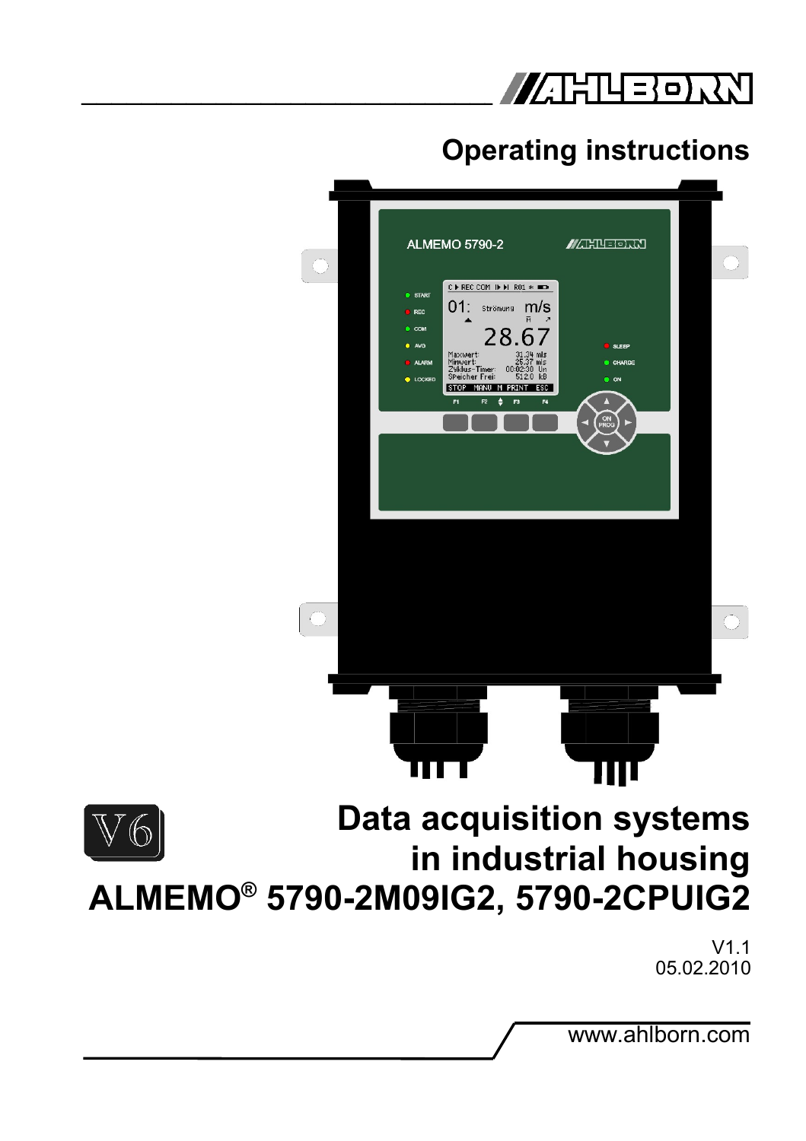

# **Operating instructions**



www.ahlborn.com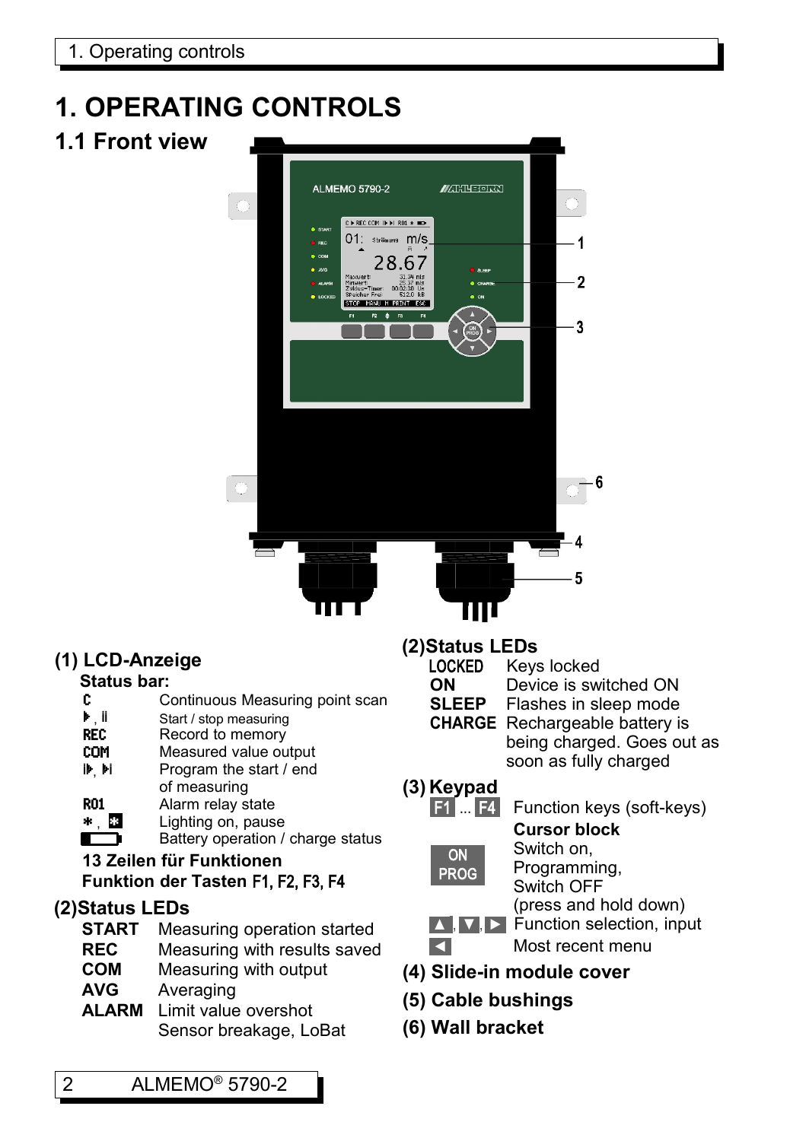# **1. OPERATING CONTROLS**

**1.1 Front view** 



#### **(1) LCD-Anzeige**

## **Status bar:**

- Continuous Measuring point scan
- $\frac{\mathbf{b}}{\mathbf{R}}$ , ii Start / stop measuring<br>
REC Record to memory
- Record to memory
- **COM** Measured value output<br> **IF Pi** Program the start / end
- Program the start / end of measuring
- R01 Alarm relay state<br>\* **23** Lighting on, paus
- **\*** Lighting on, pause<br> **Battery operation** / ┏
	- Battery operation / charge status

#### **13 Zeilen für Funktionen Funktion der Tasten** F1, F2, F3, F4

#### **(2)Status LEDs**

- **START** Measuring operation started
- **REC** Measuring with results saved
- **COM** Measuring with output
- **AVG** Averaging
- **ALARM** Limit value overshot Sensor breakage, LoBat

#### **(2)Status LEDs**

- - LOCKED Keys locked **ON** Device is switched ON
	-
	- **SLEEP** Flashes in sleep mode
	-
	- **CHARGE** Rechargeable battery is being charged. Goes out as
		- soon as fully charged

## **(3) Keypad**

#### **F1** ... **F4** Function keys (soft-keys) **Cursor block**

 ON PROG Switch on, Programming, Switch OFF (press and hold down)

- **A D** Function selection, input ◄ Most recent menu
- **(4) Slide-in module cover**
- **(5) Cable bushings**
- **(6) Wall bracket**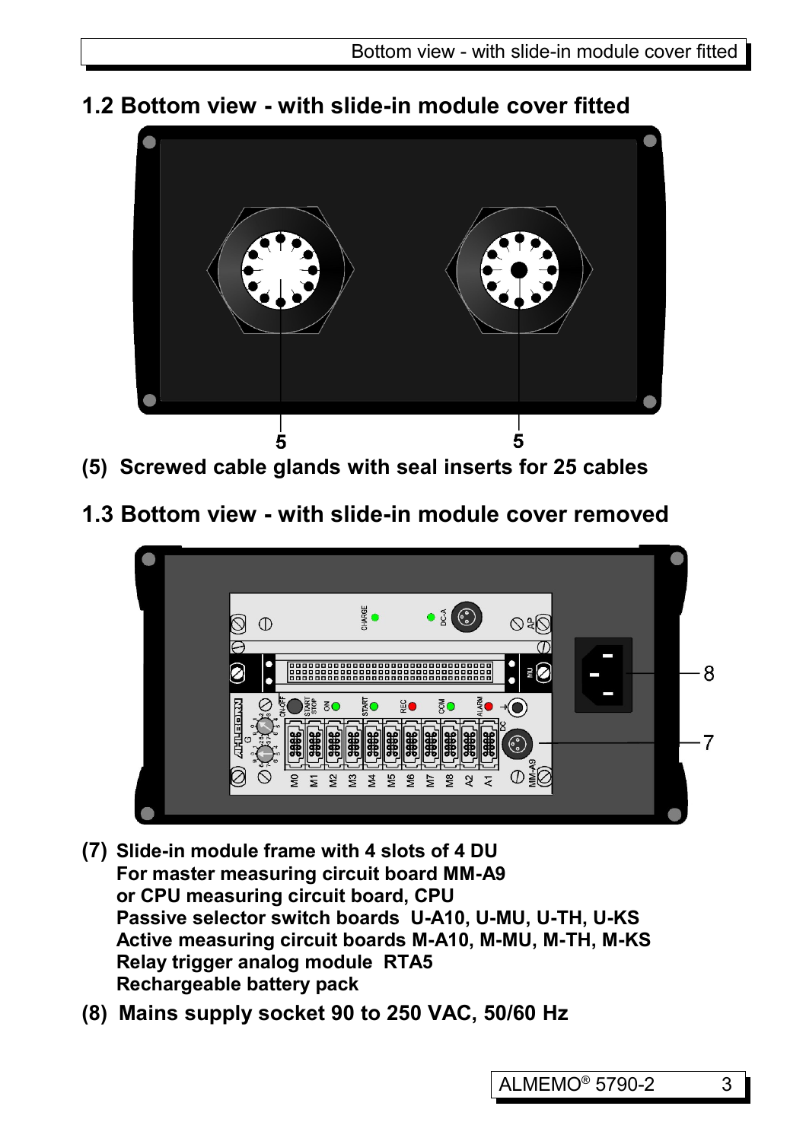

**1.2 Bottom view - with slide-in module cover fitted**

- **(5) Screwed cable glands with seal inserts for 25 cables**
- **1.3 Bottom view with slide-in module cover removed**



- **(7) Slide-in module frame with 4 slots of 4 DU For master measuring circuit board MM-A9 or CPU measuring circuit board, CPU Passive selector switch boards U-A10, U-MU, U-TH, U-KS Active measuring circuit boards M-A10, M-MU, M-TH, M-KS Relay trigger analog module RTA5 Rechargeable battery pack**
- **(8) Mains supply socket 90 to 250 VAC, 50/60 Hz**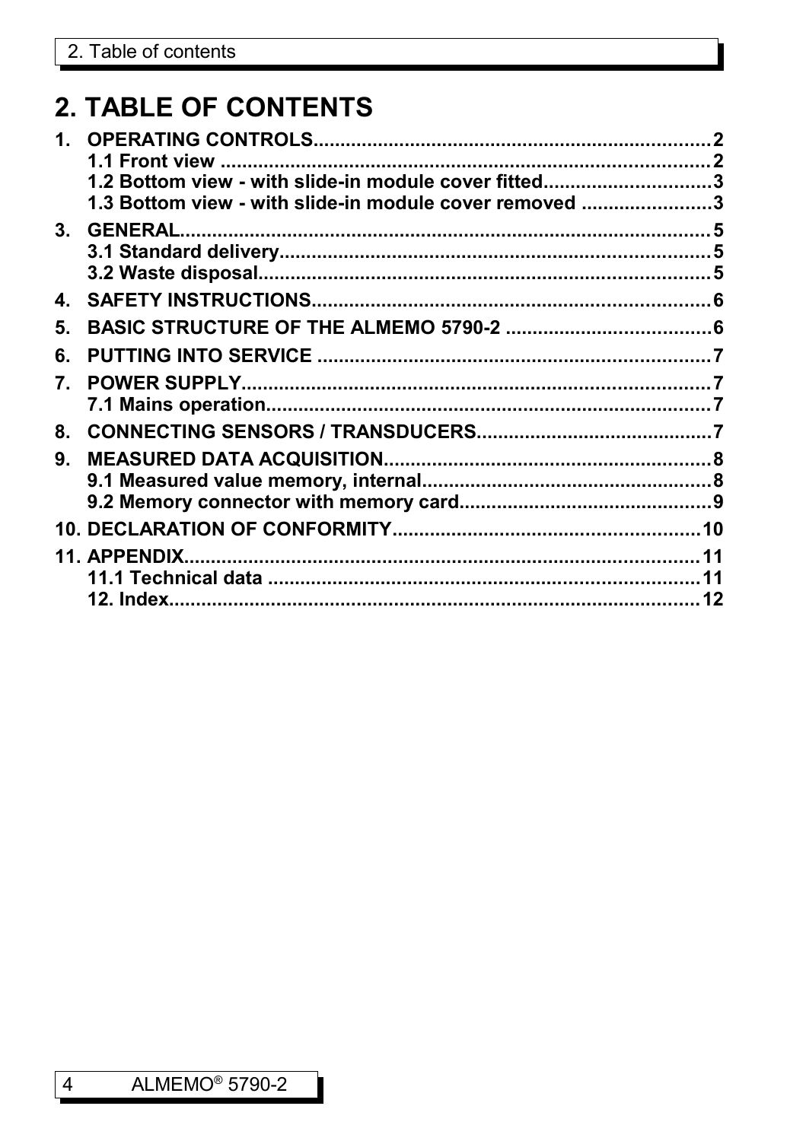# **2. TABLE OF CONTENTS**

| 1.      |                                                        |    |
|---------|--------------------------------------------------------|----|
|         |                                                        |    |
|         | 1.2 Bottom view - with slide-in module cover fitted3   |    |
|         | 1.3 Bottom view - with slide-in module cover removed 3 |    |
| $3_{-}$ |                                                        |    |
|         |                                                        |    |
|         |                                                        |    |
| 4.      |                                                        |    |
| 5.      |                                                        |    |
| 6.      |                                                        |    |
| 7.      |                                                        |    |
|         |                                                        |    |
| 8.      |                                                        |    |
| 9.      |                                                        |    |
|         |                                                        |    |
|         |                                                        |    |
|         |                                                        |    |
|         |                                                        | 11 |
|         |                                                        |    |
|         | <b>12. Index.</b>                                      |    |
|         |                                                        |    |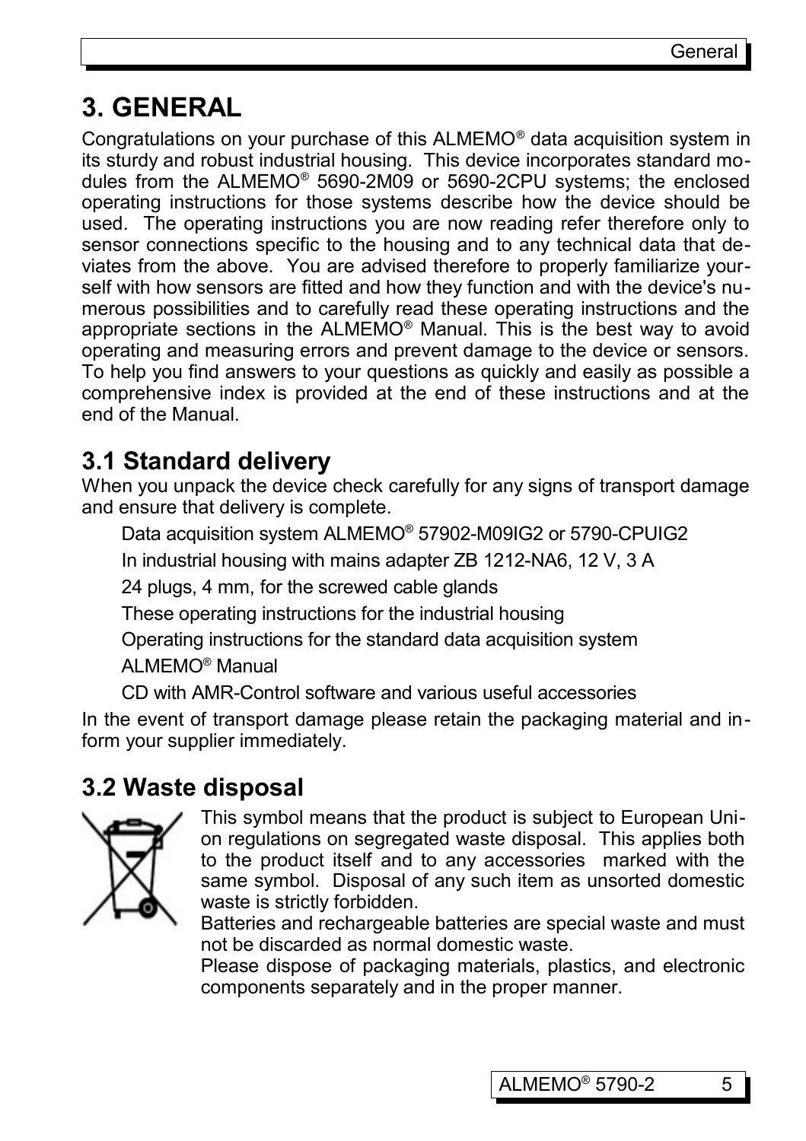## **3. GENERAL**

Congratulations on your purchase of this ALMEMO® data acquisition system in its sturdy and robust industrial housing. This device incorporates standard modules from the ALMEMO® 5690-2M09 or 5690-2CPU systems; the enclosed operating instructions for those systems describe how the device should be used. The operating instructions you are now reading refer therefore only to sensor connections specific to the housing and to any technical data that deviates from the above. You are advised therefore to properly familiarize yourself with how sensors are fitted and how they function and with the device's numerous possibilities and to carefully read these operating instructions and the appropriate sections in the ALMEMO® Manual. This is the best way to avoid operating and measuring errors and prevent damage to the device or sensors. To help you find answers to your questions as quickly and easily as possible a comprehensive index is provided at the end of these instructions and at the end of the Manual.

## **3.1 Standard delivery**

When you unpack the device check carefully for any signs of transport damage and ensure that delivery is complete.

Data acquisition system ALMEMO® 57902-M09IG2 or 5790-CPUIG2

In industrial housing with mains adapter ZB 1212-NA6, 12 V, 3 A

24 plugs, 4 mm, for the screwed cable glands

These operating instructions for the industrial housing

Operating instructions for the standard data acquisition system

ALMEMO® Manual

CD with AMR-Control software and various useful accessories

In the event of transport damage please retain the packaging material and inform your supplier immediately.

## **3.2 Waste disposal**



This symbol means that the product is subject to European Union regulations on segregated waste disposal. This applies both to the product itself and to any accessories marked with the same symbol. Disposal of any such item as unsorted domestic waste is strictly forbidden.

Batteries and rechargeable batteries are special waste and must not be discarded as normal domestic waste.

Please dispose of packaging materials, plastics, and electronic components separately and in the proper manner.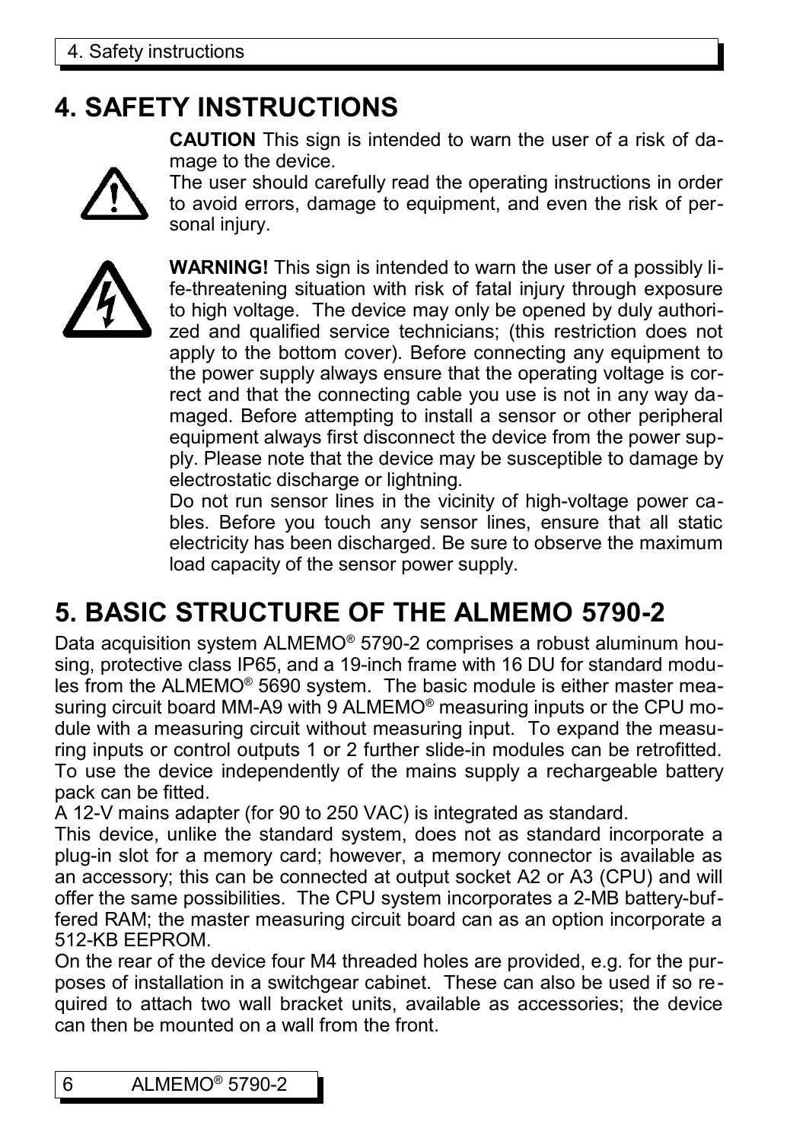## **4. SAFETY INSTRUCTIONS**

**CAUTION** This sign is intended to warn the user of a risk of damage to the device.



The user should carefully read the operating instructions in order to avoid errors, damage to equipment, and even the risk of personal injury.



**WARNING!** This sign is intended to warn the user of a possibly life-threatening situation with risk of fatal injury through exposure to high voltage. The device may only be opened by duly authorized and qualified service technicians; (this restriction does not apply to the bottom cover). Before connecting any equipment to the power supply always ensure that the operating voltage is correct and that the connecting cable you use is not in any way damaged. Before attempting to install a sensor or other peripheral equipment always first disconnect the device from the power supply. Please note that the device may be susceptible to damage by electrostatic discharge or lightning.

Do not run sensor lines in the vicinity of high-voltage power cables. Before you touch any sensor lines, ensure that all static electricity has been discharged. Be sure to observe the maximum load capacity of the sensor power supply.

# **5. BASIC STRUCTURE OF THE ALMEMO 5790-2**

Data acquisition system ALMEMO® 5790-2 comprises a robust aluminum housing, protective class IP65, and a 19-inch frame with 16 DU for standard modules from the ALMEMO® 5690 system. The basic module is either master measuring circuit board MM-A9 with 9 ALMEMO® measuring inputs or the CPU module with a measuring circuit without measuring input. To expand the measuring inputs or control outputs 1 or 2 further slide-in modules can be retrofitted. To use the device independently of the mains supply a rechargeable battery pack can be fitted.

A 12-V mains adapter (for 90 to 250 VAC) is integrated as standard.

This device, unlike the standard system, does not as standard incorporate a plug-in slot for a memory card; however, a memory connector is available as an accessory; this can be connected at output socket A2 or A3 (CPU) and will offer the same possibilities. The CPU system incorporates a 2-MB battery-buffered RAM; the master measuring circuit board can as an option incorporate a 512-KB EEPROM.

On the rear of the device four M4 threaded holes are provided, e.g. for the purposes of installation in a switchgear cabinet. These can also be used if so required to attach two wall bracket units, available as accessories; the device can then be mounted on a wall from the front.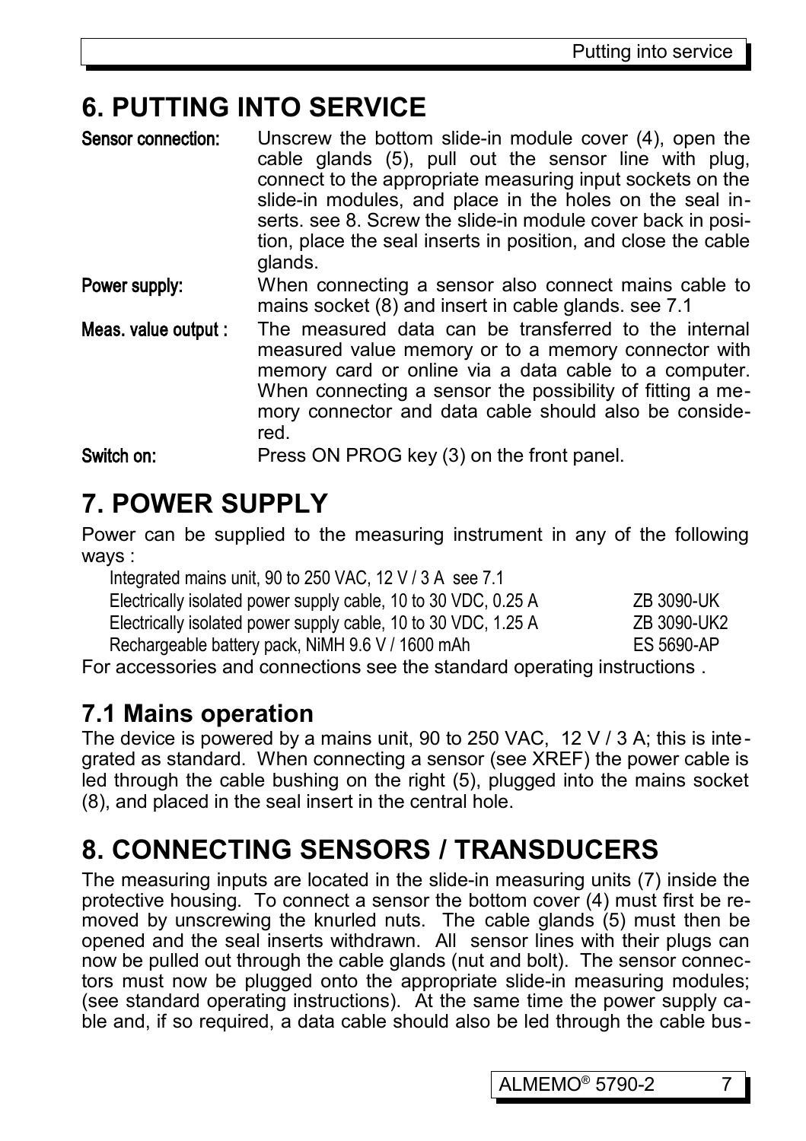## **6. PUTTING INTO SERVICE**

| Sensor connection:   | Unscrew the bottom slide-in module cover (4), open the<br>cable glands (5), pull out the sensor line with plug,<br>connect to the appropriate measuring input sockets on the<br>slide-in modules, and place in the holes on the seal in-<br>serts. see 8. Screw the slide-in module cover back in posi-<br>tion, place the seal inserts in position, and close the cable<br>glands. |
|----------------------|-------------------------------------------------------------------------------------------------------------------------------------------------------------------------------------------------------------------------------------------------------------------------------------------------------------------------------------------------------------------------------------|
| Power supply:        | When connecting a sensor also connect mains cable to<br>mains socket (8) and insert in cable glands. see 7.1                                                                                                                                                                                                                                                                        |
| Meas. value output : | The measured data can be transferred to the internal<br>measured value memory or to a memory connector with<br>memory card or online via a data cable to a computer.<br>When connecting a sensor the possibility of fitting a me-<br>mory connector and data cable should also be conside-<br>red.                                                                                  |
| Switch on:           | Press ON PROG key (3) on the front panel.                                                                                                                                                                                                                                                                                                                                           |

# **7. POWER SUPPLY**

Power can be supplied to the measuring instrument in any of the following ways :

| Integrated mains unit, 90 to 250 VAC, 12 V / 3 A see 7.1               |             |  |  |  |
|------------------------------------------------------------------------|-------------|--|--|--|
| Electrically isolated power supply cable, 10 to 30 VDC, 0.25 A         | ZB 3090-UK  |  |  |  |
| Electrically isolated power supply cable, 10 to 30 VDC, 1.25 A         | ZB 3090-UK2 |  |  |  |
| Rechargeable battery pack, NiMH 9.6 V / 1600 mAh                       | ES 5690-AP  |  |  |  |
| r acconocrice and connections and the standard energting instructions. |             |  |  |  |

For accessories and connections see the standard operating instructions .

## **7.1 Mains operation**

The device is powered by a mains unit, 90 to 250 VAC, 12 V / 3 A; this is integrated as standard. When connecting a sensor (see XREF) the power cable is led through the cable bushing on the right (5), plugged into the mains socket (8), and placed in the seal insert in the central hole.

# **8. CONNECTING SENSORS / TRANSDUCERS**

The measuring inputs are located in the slide-in measuring units (7) inside the protective housing. To connect a sensor the bottom cover (4) must first be removed by unscrewing the knurled nuts. The cable glands (5) must then be opened and the seal inserts withdrawn. All sensor lines with their plugs can now be pulled out through the cable glands (nut and bolt). The sensor connectors must now be plugged onto the appropriate slide-in measuring modules; (see standard operating instructions). At the same time the power supply cable and, if so required, a data cable should also be led through the cable bus-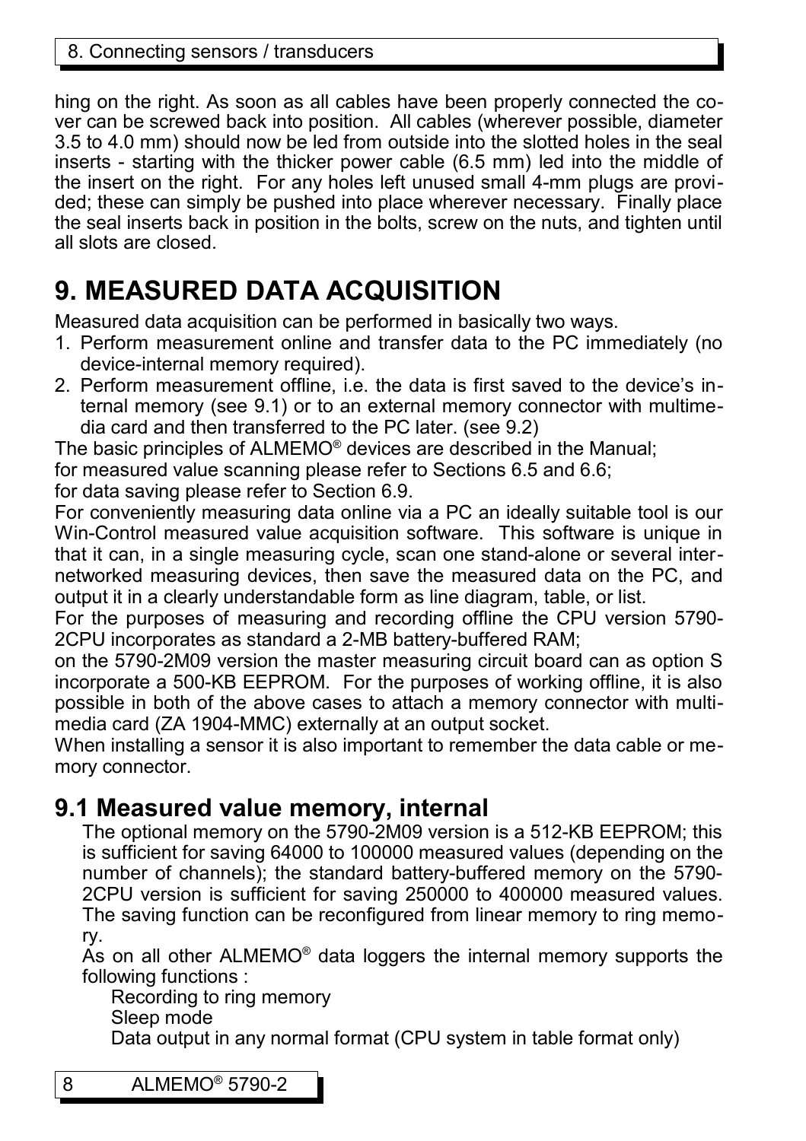hing on the right. As soon as all cables have been properly connected the cover can be screwed back into position. All cables (wherever possible, diameter 3.5 to 4.0 mm) should now be led from outside into the slotted holes in the seal inserts - starting with the thicker power cable (6.5 mm) led into the middle of the insert on the right. For any holes left unused small 4-mm plugs are provided; these can simply be pushed into place wherever necessary. Finally place the seal inserts back in position in the bolts, screw on the nuts, and tighten until all slots are closed.

# **9. MEASURED DATA ACQUISITION**

Measured data acquisition can be performed in basically two ways.

- 1. Perform measurement online and transfer data to the PC immediately (no device-internal memory required).
- 2. Perform measurement offline, i.e. the data is first saved to the device's internal memory (see 9.1) or to an external memory connector with multimedia card and then transferred to the PC later. (see 9.2)

The basic principles of ALMEMO® devices are described in the Manual;

for measured value scanning please refer to Sections 6.5 and 6.6;

for data saving please refer to Section 6.9.

For conveniently measuring data online via a PC an ideally suitable tool is our Win-Control measured value acquisition software. This software is unique in that it can, in a single measuring cycle, scan one stand-alone or several internetworked measuring devices, then save the measured data on the PC, and output it in a clearly understandable form as line diagram, table, or list.

For the purposes of measuring and recording offline the CPU version 5790- 2CPU incorporates as standard a 2-MB battery-buffered RAM;

on the 5790-2M09 version the master measuring circuit board can as option S incorporate a 500-KB EEPROM. For the purposes of working offline, it is also possible in both of the above cases to attach a memory connector with multimedia card (ZA 1904-MMC) externally at an output socket.

When installing a sensor it is also important to remember the data cable or memory connector.

#### **9.1 Measured value memory, internal**

The optional memory on the 5790-2M09 version is a 512-KB EEPROM; this is sufficient for saving 64000 to 100000 measured values (depending on the number of channels); the standard battery-buffered memory on the 5790- 2CPU version is sufficient for saving 250000 to 400000 measured values. The saving function can be reconfigured from linear memory to ring memory.

As on all other ALMEMO<sup>®</sup> data loggers the internal memory supports the following functions :

Recording to ring memory

Sleep mode

Data output in any normal format (CPU system in table format only)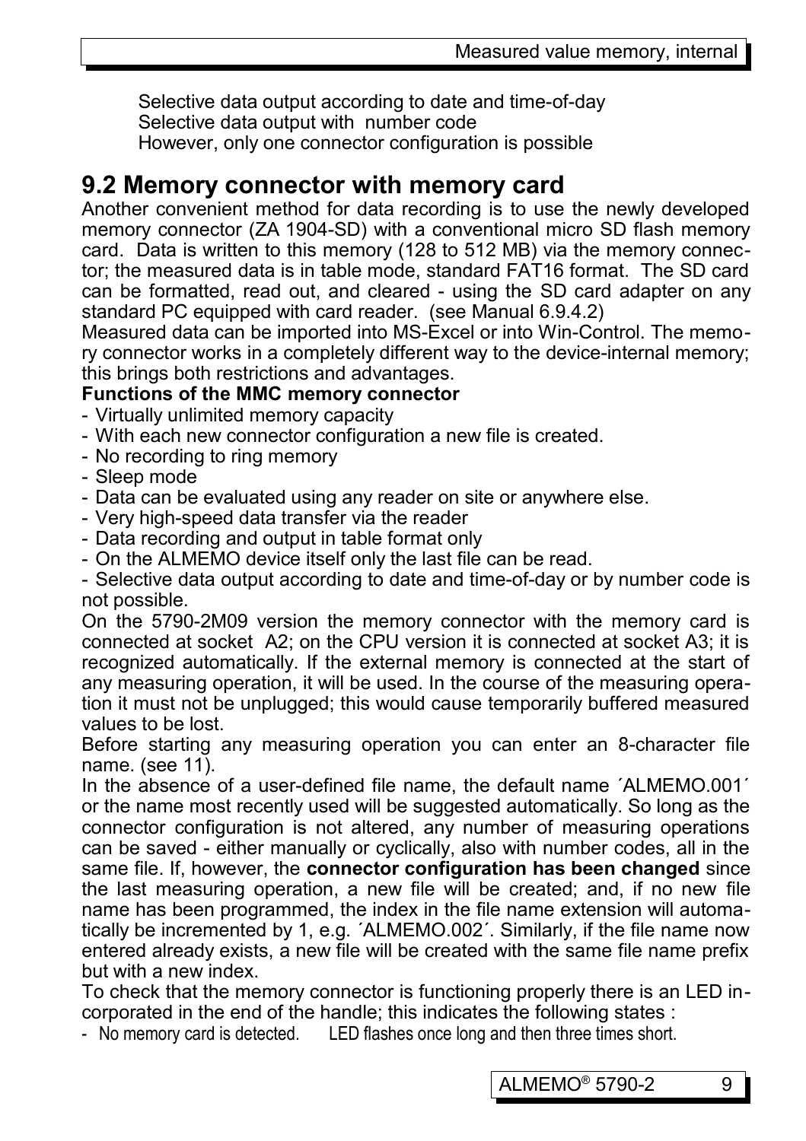Selective data output according to date and time-of-day Selective data output with number code However, only one connector configuration is possible

#### **9.2 Memory connector with memory card**

Another convenient method for data recording is to use the newly developed memory connector (ZA 1904-SD) with a conventional micro SD flash memory card. Data is written to this memory (128 to 512 MB) via the memory connector; the measured data is in table mode, standard FAT16 format. The SD card can be formatted, read out, and cleared - using the SD card adapter on any standard PC equipped with card reader. (see Manual 6.9.4.2)

Measured data can be imported into MS-Excel or into Win-Control. The memory connector works in a completely different way to the device-internal memory; this brings both restrictions and advantages.

#### **Functions of the MMC memory connector**

- Virtually unlimited memory capacity
- With each new connector configuration a new file is created.
- No recording to ring memory
- Sleep mode
- Data can be evaluated using any reader on site or anywhere else.
- Very high-speed data transfer via the reader
- Data recording and output in table format only
- On the ALMEMO device itself only the last file can be read.

- Selective data output according to date and time-of-day or by number code is not possible.

On the 5790-2M09 version the memory connector with the memory card is connected at socket A2; on the CPU version it is connected at socket A3; it is recognized automatically. If the external memory is connected at the start of any measuring operation, it will be used. In the course of the measuring operation it must not be unplugged; this would cause temporarily buffered measured values to be lost.

Before starting any measuring operation you can enter an 8-character file name. (see 11).

In the absence of a user-defined file name, the default name ´ALMEMO.001´ or the name most recently used will be suggested automatically. So long as the connector configuration is not altered, any number of measuring operations can be saved - either manually or cyclically, also with number codes, all in the same file. If, however, the **connector configuration has been changed** since the last measuring operation, a new file will be created; and, if no new file name has been programmed, the index in the file name extension will automatically be incremented by 1, e.g. ´ALMEMO.002´. Similarly, if the file name now entered already exists, a new file will be created with the same file name prefix but with a new index.

To check that the memory connector is functioning properly there is an LED incorporated in the end of the handle; this indicates the following states :

- No memory card is detected. LED flashes once long and then three times short.

ALMEMO<sup>®</sup> 5790-2 9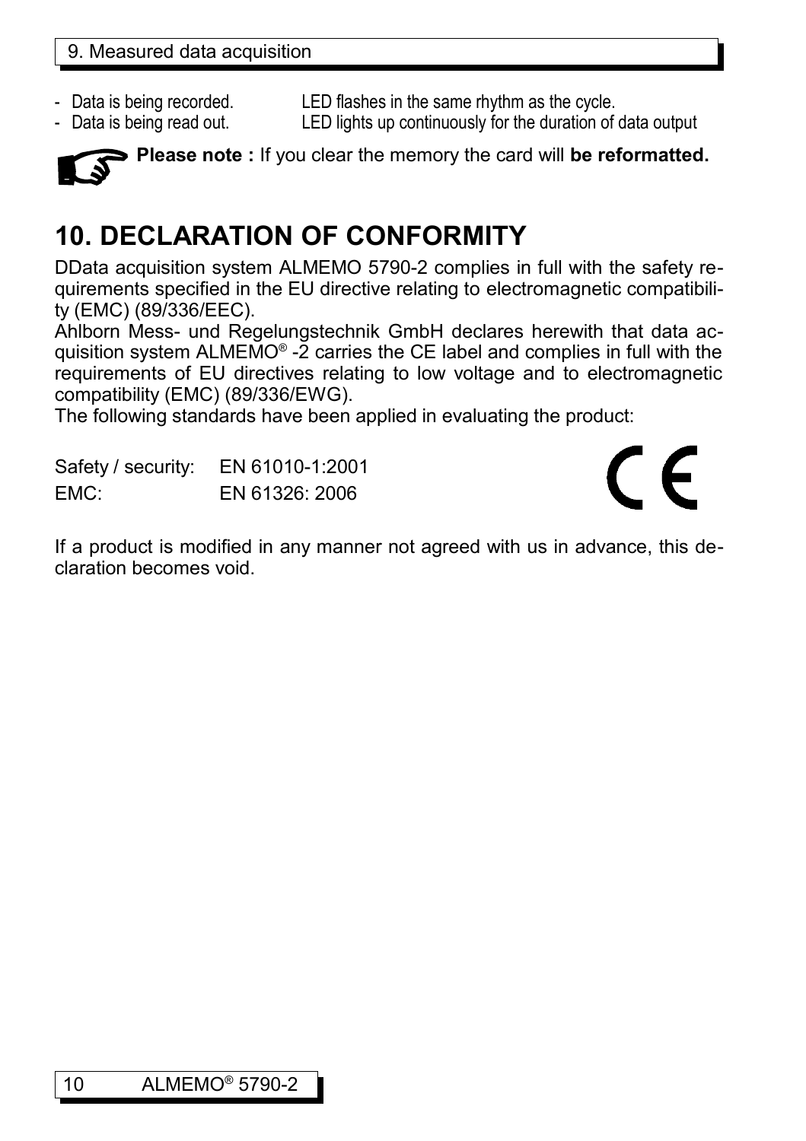- 
- 

- Data is being recorded. LED flashes in the same rhythm as the cycle.

- Data is being read out. LED lights up continuously for the duration of data output



**Please note :** If you clear the memory the card will **be reformatted.**

# **10. DECLARATION OF CONFORMITY**

DData acquisition system ALMEMO 5790-2 complies in full with the safety requirements specified in the EU directive relating to electromagnetic compatibility (EMC) (89/336/EEC).

Ahlborn Mess- und Regelungstechnik GmbH declares herewith that data acquisition system ALMEMO® -2 carries the CE label and complies in full with the requirements of EU directives relating to low voltage and to electromagnetic compatibility (EMC) (89/336/EWG).

The following standards have been applied in evaluating the product:

Safety / security: EN 61010-1:2001 EMC: EN 61326: 2006

# $\epsilon$

If a product is modified in any manner not agreed with us in advance, this declaration becomes void.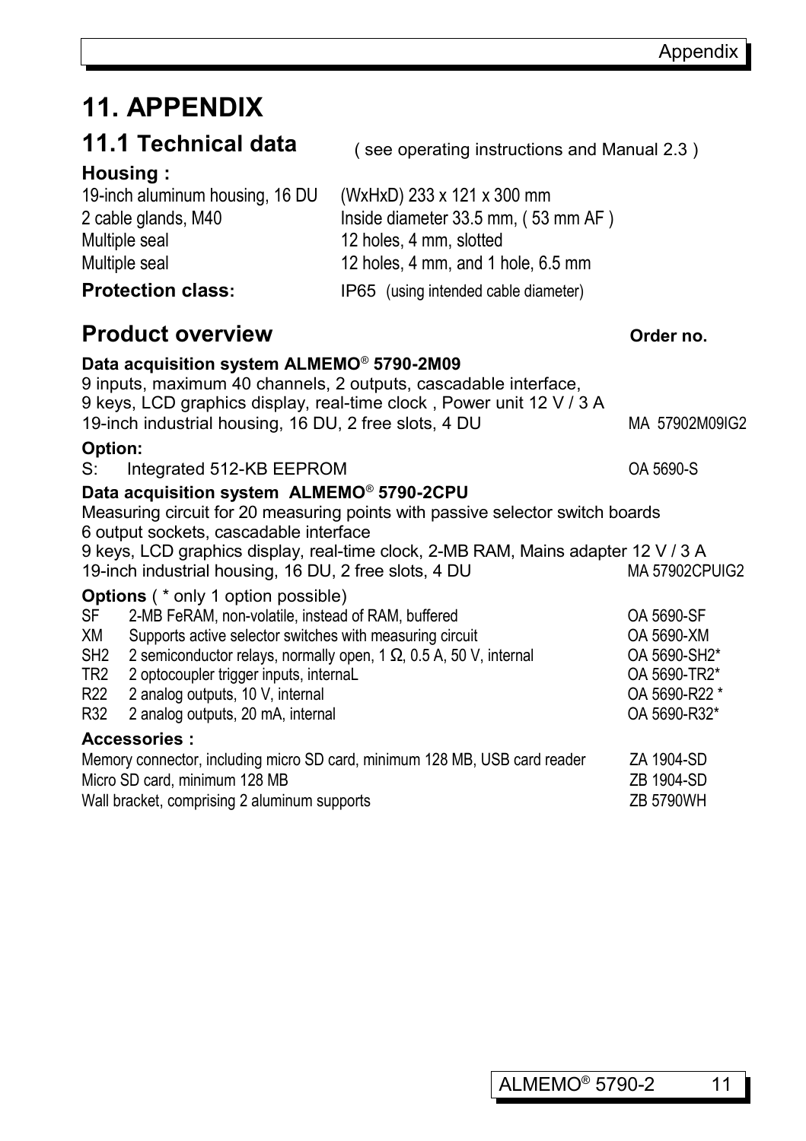# **11. APPENDIX**

|  |  |  |  |  |  |  |  | 11.1 Technical data |
|--|--|--|--|--|--|--|--|---------------------|
|--|--|--|--|--|--|--|--|---------------------|

#### **Housing :**

19-inch aluminum housing, 16 DU (WxHxD) 233 x 121 x 300 mm 2 cable glands, M40 Inside diameter 33.5 mm, ( 53 mm AF ) Multiple seal 12 holes, 4 mm, slotted Multiple seal 12 holes, 4 mm, and 1 hole, 6.5 mm **Protection class:** IP65 (using intended cable diameter)

#### **Product overview** *Order no.*

#### **Data acquisition system ALMEMO**®  **5790-2M09**

9 inputs, maximum 40 channels, 2 outputs, cascadable interface, 9 keys, LCD graphics display, real-time clock , Power unit 12 V / 3 A 19-inch industrial housing, 16 DU, 2 free slots, 4 DU MA 57902M09IG2

( see operating instructions and Manual 2.3 )

#### **Option:**

S: Integrated 512-KB EEPROM COA 5690-S

#### **Data acquisition system ALMEMO**®  **5790-2CPU**

Measuring circuit for 20 measuring points with passive selector switch boards 6 output sockets, cascadable interface 9 keys, LCD graphics display, real-time clock, 2-MB RAM, Mains adapter 12 V / 3 A 19-inch industrial housing, 16 DU, 2 free slots, 4 DU MA 57902CPUIG2

#### **Options** ( \* only 1 option possible)

| <b>SF</b>                                                                  | 2-MB FeRAM, non-volatile, instead of RAM, buffered                        | OA 5690-SF    |
|----------------------------------------------------------------------------|---------------------------------------------------------------------------|---------------|
| XМ                                                                         | Supports active selector switches with measuring circuit                  | OA 5690-XM    |
| SH <sub>2</sub>                                                            | 2 semiconductor relays, normally open, $1 \Omega$ , 0.5 A, 50 V, internal | OA 5690-SH2*  |
| TR2                                                                        | 2 optocoupler trigger inputs, internal                                    | OA 5690-TR2*  |
| R22                                                                        | 2 analog outputs, 10 V, internal                                          | OA 5690-R22 * |
| R32                                                                        | 2 analog outputs, 20 mA, internal                                         | OA 5690-R32*  |
|                                                                            | <b>Accessories:</b>                                                       |               |
| Memory connector, including micro SD card, minimum 128 MB, USB card reader | ZA 1904-SD                                                                |               |
| Micro SD card, minimum 128 MB                                              | ZB 1904-SD                                                                |               |
|                                                                            |                                                                           |               |

Wall bracket, comprising 2 aluminum supports  $ZB$  5790WH